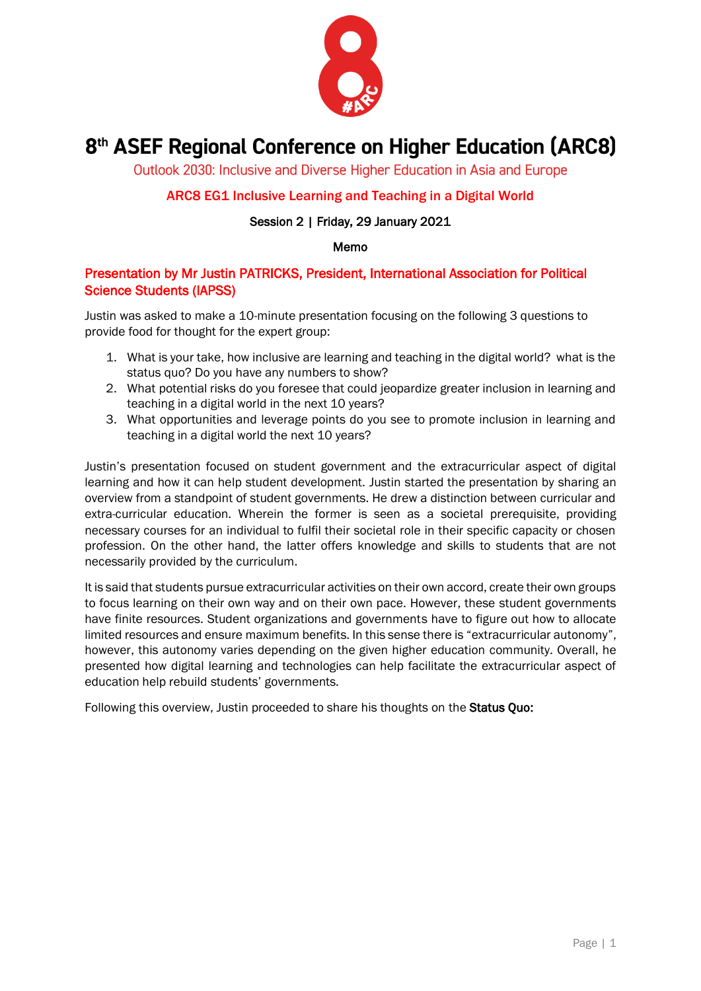

# 8<sup>th</sup> ASEF Regional Conference on Higher Education (ARC8)

Outlook 2030: Inclusive and Diverse Higher Education in Asia and Europe

## ARC8 EG1 Inclusive Learning and Teaching in a Digital World

#### Session 2 | Friday, 29 January 2021

#### Memo

### Presentation by Mr Justin PATRICKS, President, International Association for Political Science Students (IAPSS)

Justin was asked to make a 10-minute presentation focusing on the following 3 questions to provide food for thought for the expert group:

- 1. What is your take, how inclusive are learning and teaching in the digital world? what is the status quo? Do you have any numbers to show?
- 2. What potential risks do you foresee that could jeopardize greater inclusion in learning and teaching in a digital world in the next 10 years?
- 3. What opportunities and leverage points do you see to promote inclusion in learning and teaching in a digital world the next 10 years?

Justin's presentation focused on student government and the extracurricular aspect of digital learning and how it can help student development. Justin started the presentation by sharing an overview from a standpoint of student governments. He drew a distinction between curricular and extra-curricular education. Wherein the former is seen as a societal prerequisite, providing necessary courses for an individual to fulfil their societal role in their specific capacity or chosen profession. On the other hand, the latter offers knowledge and skills to students that are not necessarily provided by the curriculum.

It is said that students pursue extracurricular activities on their own accord, create their own groups to focus learning on their own way and on their own pace. However, these student governments have finite resources. Student organizations and governments have to figure out how to allocate limited resources and ensure maximum benefits. In this sense there is "extracurricular autonomy", however, this autonomy varies depending on the given higher education community. Overall, he presented how digital learning and technologies can help facilitate the extracurricular aspect of education help rebuild students' governments.

Following this overview, Justin proceeded to share his thoughts on the Status Ouo: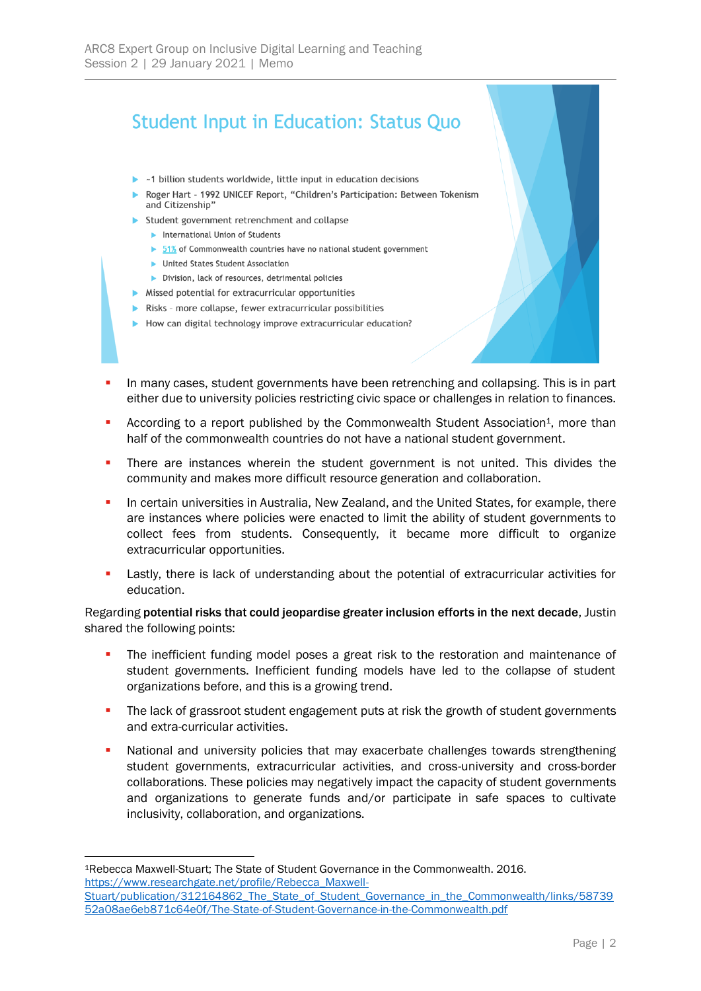## **Student Input in Education: Status Quo**

- $\triangleright$  ~1 billion students worldwide, little input in education decisions
- Roger Hart 1992 UNICEF Report, "Children's Participation: Between Tokenism and Citizenship"
- Student government retrenchment and collapse
	- International Union of Students
	- 51% of Commonwealth countries have no national student government
	- United States Student Association
	- Division, lack of resources, detrimental policies
- Missed potential for extracurricular opportunities
- Risks more collapse, fewer extracurricular possibilities
- How can digital technology improve extracurricular education?
- In many cases, student governments have been retrenching and collapsing. This is in part either due to university policies restricting civic space or challenges in relation to finances.
- According to a report published by the Commonwealth Student Association<sup>1</sup>, more than half of the commonwealth countries do not have a national student government.
- **•** There are instances wherein the student government is not united. This divides the community and makes more difficult resource generation and collaboration.
- In certain universities in Australia, New Zealand, and the United States, for example, there are instances where policies were enacted to limit the ability of student governments to collect fees from students. Consequently, it became more difficult to organize extracurricular opportunities.
- **•** Lastly, there is lack of understanding about the potential of extracurricular activities for education.

Regarding potential risks that could jeopardise greater inclusion efforts in the next decade, Justin shared the following points:

- **•** The inefficient funding model poses a great risk to the restoration and maintenance of student governments. Inefficient funding models have led to the collapse of student organizations before, and this is a growing trend.
- **•** The lack of grassroot student engagement puts at risk the growth of student governments and extra-curricular activities.
- National and university policies that may exacerbate challenges towards strengthening student governments, extracurricular activities, and cross-university and cross-border collaborations. These policies may negatively impact the capacity of student governments and organizations to generate funds and/or participate in safe spaces to cultivate inclusivity, collaboration, and organizations.

<sup>1</sup>Rebecca Maxwell-Stuart; The State of Student Governance in the Commonwealth. 2016. [https://www.researchgate.net/profile/Rebecca\\_Maxwell-](https://www.researchgate.net/profile/Rebecca_Maxwell-Stuart/publication/312164862_The_State_of_Student_Governance_in_the_Commonwealth/links/5873952a08ae6eb871c64e0f/The-State-of-Student-Governance-in-the-Commonwealth.pdf)Stuart/publication/312164862 The State of Student Governance in the Commonwealth/links/58739

[<sup>52</sup>a08ae6eb871c64e0f/The-State-of-Student-Governance-in-the-Commonwealth.pdf](https://www.researchgate.net/profile/Rebecca_Maxwell-Stuart/publication/312164862_The_State_of_Student_Governance_in_the_Commonwealth/links/5873952a08ae6eb871c64e0f/The-State-of-Student-Governance-in-the-Commonwealth.pdf)